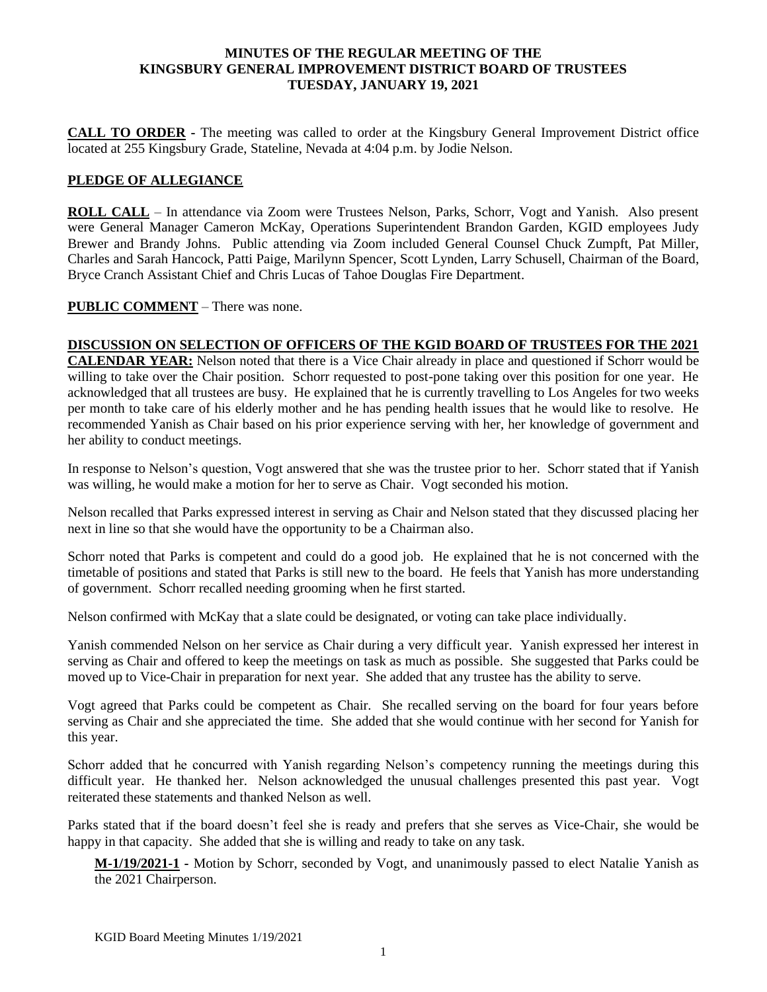### **MINUTES OF THE REGULAR MEETING OF THE KINGSBURY GENERAL IMPROVEMENT DISTRICT BOARD OF TRUSTEES TUESDAY, JANUARY 19, 2021**

**CALL TO ORDER -** The meeting was called to order at the Kingsbury General Improvement District office located at 255 Kingsbury Grade, Stateline, Nevada at 4:04 p.m. by Jodie Nelson.

## **PLEDGE OF ALLEGIANCE**

**ROLL CALL** – In attendance via Zoom were Trustees Nelson, Parks, Schorr, Vogt and Yanish. Also present were General Manager Cameron McKay, Operations Superintendent Brandon Garden, KGID employees Judy Brewer and Brandy Johns. Public attending via Zoom included General Counsel Chuck Zumpft, Pat Miller, Charles and Sarah Hancock, Patti Paige, Marilynn Spencer, Scott Lynden, Larry Schusell, Chairman of the Board, Bryce Cranch Assistant Chief and Chris Lucas of Tahoe Douglas Fire Department.

## **PUBLIC COMMENT** – There was none.

# **DISCUSSION ON SELECTION OF OFFICERS OF THE KGID BOARD OF TRUSTEES FOR THE 2021**

**CALENDAR YEAR:** Nelson noted that there is a Vice Chair already in place and questioned if Schorr would be willing to take over the Chair position. Schorr requested to post-pone taking over this position for one year. He acknowledged that all trustees are busy. He explained that he is currently travelling to Los Angeles for two weeks per month to take care of his elderly mother and he has pending health issues that he would like to resolve. He recommended Yanish as Chair based on his prior experience serving with her, her knowledge of government and her ability to conduct meetings.

In response to Nelson's question, Vogt answered that she was the trustee prior to her. Schorr stated that if Yanish was willing, he would make a motion for her to serve as Chair. Vogt seconded his motion.

Nelson recalled that Parks expressed interest in serving as Chair and Nelson stated that they discussed placing her next in line so that she would have the opportunity to be a Chairman also.

Schorr noted that Parks is competent and could do a good job. He explained that he is not concerned with the timetable of positions and stated that Parks is still new to the board. He feels that Yanish has more understanding of government. Schorr recalled needing grooming when he first started.

Nelson confirmed with McKay that a slate could be designated, or voting can take place individually.

Yanish commended Nelson on her service as Chair during a very difficult year. Yanish expressed her interest in serving as Chair and offered to keep the meetings on task as much as possible. She suggested that Parks could be moved up to Vice-Chair in preparation for next year. She added that any trustee has the ability to serve.

Vogt agreed that Parks could be competent as Chair. She recalled serving on the board for four years before serving as Chair and she appreciated the time. She added that she would continue with her second for Yanish for this year.

Schorr added that he concurred with Yanish regarding Nelson's competency running the meetings during this difficult year. He thanked her. Nelson acknowledged the unusual challenges presented this past year. Vogt reiterated these statements and thanked Nelson as well.

Parks stated that if the board doesn't feel she is ready and prefers that she serves as Vice-Chair, she would be happy in that capacity. She added that she is willing and ready to take on any task.

**M-1/19/2021-1 -** Motion by Schorr, seconded by Vogt, and unanimously passed to elect Natalie Yanish as the 2021 Chairperson.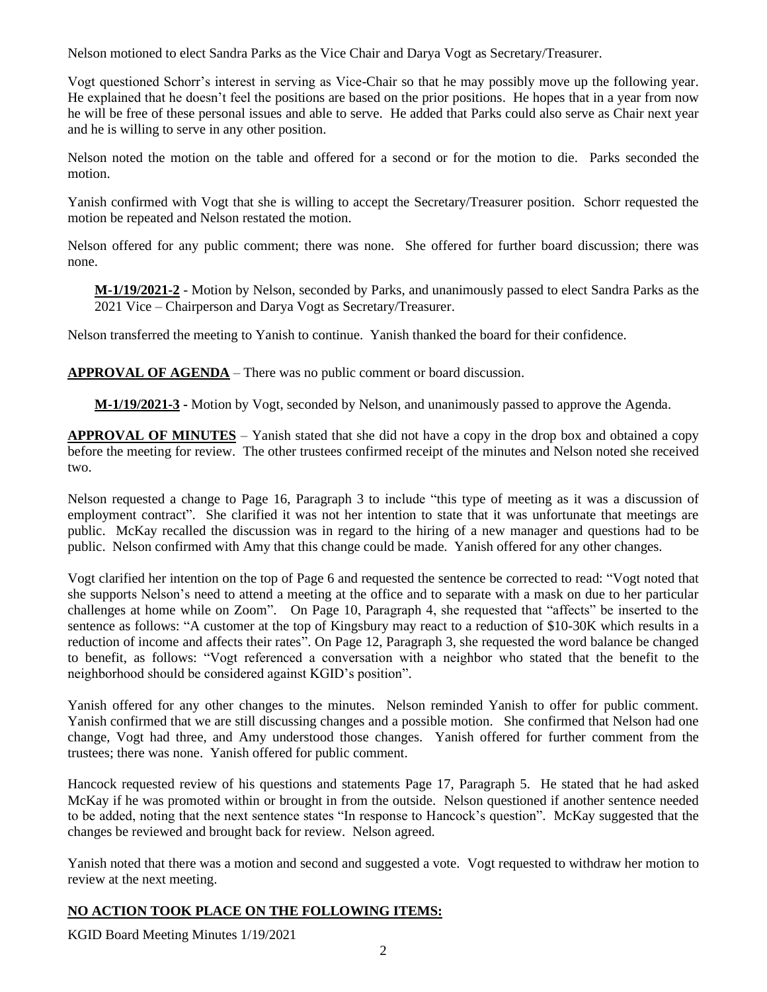Nelson motioned to elect Sandra Parks as the Vice Chair and Darya Vogt as Secretary/Treasurer.

Vogt questioned Schorr's interest in serving as Vice-Chair so that he may possibly move up the following year. He explained that he doesn't feel the positions are based on the prior positions. He hopes that in a year from now he will be free of these personal issues and able to serve. He added that Parks could also serve as Chair next year and he is willing to serve in any other position.

Nelson noted the motion on the table and offered for a second or for the motion to die. Parks seconded the motion.

Yanish confirmed with Vogt that she is willing to accept the Secretary/Treasurer position. Schorr requested the motion be repeated and Nelson restated the motion.

Nelson offered for any public comment; there was none. She offered for further board discussion; there was none.

**M-1/19/2021-2** - Motion by Nelson, seconded by Parks, and unanimously passed to elect Sandra Parks as the 2021 Vice – Chairperson and Darya Vogt as Secretary/Treasurer.

Nelson transferred the meeting to Yanish to continue. Yanish thanked the board for their confidence.

**APPROVAL OF AGENDA** – There was no public comment or board discussion.

**M-1/19/2021-3 -** Motion by Vogt, seconded by Nelson, and unanimously passed to approve the Agenda.

**APPROVAL OF MINUTES** – Yanish stated that she did not have a copy in the drop box and obtained a copy before the meeting for review. The other trustees confirmed receipt of the minutes and Nelson noted she received two.

Nelson requested a change to Page 16, Paragraph 3 to include "this type of meeting as it was a discussion of employment contract". She clarified it was not her intention to state that it was unfortunate that meetings are public. McKay recalled the discussion was in regard to the hiring of a new manager and questions had to be public. Nelson confirmed with Amy that this change could be made. Yanish offered for any other changes.

Vogt clarified her intention on the top of Page 6 and requested the sentence be corrected to read: "Vogt noted that she supports Nelson's need to attend a meeting at the office and to separate with a mask on due to her particular challenges at home while on Zoom". On Page 10, Paragraph 4, she requested that "affects" be inserted to the sentence as follows: "A customer at the top of Kingsbury may react to a reduction of \$10-30K which results in a reduction of income and affects their rates". On Page 12, Paragraph 3, she requested the word balance be changed to benefit, as follows: "Vogt referenced a conversation with a neighbor who stated that the benefit to the neighborhood should be considered against KGID's position".

Yanish offered for any other changes to the minutes. Nelson reminded Yanish to offer for public comment. Yanish confirmed that we are still discussing changes and a possible motion. She confirmed that Nelson had one change, Vogt had three, and Amy understood those changes. Yanish offered for further comment from the trustees; there was none. Yanish offered for public comment.

Hancock requested review of his questions and statements Page 17, Paragraph 5. He stated that he had asked McKay if he was promoted within or brought in from the outside. Nelson questioned if another sentence needed to be added, noting that the next sentence states "In response to Hancock's question". McKay suggested that the changes be reviewed and brought back for review. Nelson agreed.

Yanish noted that there was a motion and second and suggested a vote. Vogt requested to withdraw her motion to review at the next meeting.

## **NO ACTION TOOK PLACE ON THE FOLLOWING ITEMS:**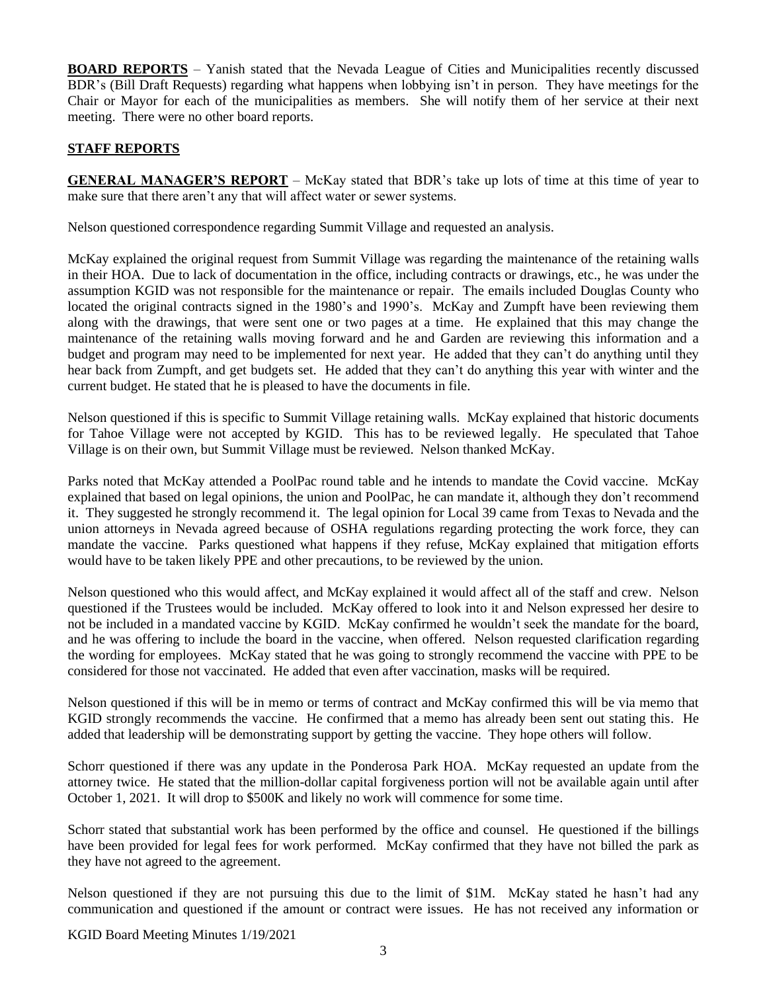**BOARD REPORTS** – Yanish stated that the Nevada League of Cities and Municipalities recently discussed BDR's (Bill Draft Requests) regarding what happens when lobbying isn't in person. They have meetings for the Chair or Mayor for each of the municipalities as members. She will notify them of her service at their next meeting. There were no other board reports.

# **STAFF REPORTS**

**GENERAL MANAGER'S REPORT** – McKay stated that BDR's take up lots of time at this time of year to make sure that there aren't any that will affect water or sewer systems.

Nelson questioned correspondence regarding Summit Village and requested an analysis.

McKay explained the original request from Summit Village was regarding the maintenance of the retaining walls in their HOA. Due to lack of documentation in the office, including contracts or drawings, etc., he was under the assumption KGID was not responsible for the maintenance or repair. The emails included Douglas County who located the original contracts signed in the 1980's and 1990's. McKay and Zumpft have been reviewing them along with the drawings, that were sent one or two pages at a time. He explained that this may change the maintenance of the retaining walls moving forward and he and Garden are reviewing this information and a budget and program may need to be implemented for next year. He added that they can't do anything until they hear back from Zumpft, and get budgets set. He added that they can't do anything this year with winter and the current budget. He stated that he is pleased to have the documents in file.

Nelson questioned if this is specific to Summit Village retaining walls. McKay explained that historic documents for Tahoe Village were not accepted by KGID. This has to be reviewed legally. He speculated that Tahoe Village is on their own, but Summit Village must be reviewed. Nelson thanked McKay.

Parks noted that McKay attended a PoolPac round table and he intends to mandate the Covid vaccine. McKay explained that based on legal opinions, the union and PoolPac, he can mandate it, although they don't recommend it. They suggested he strongly recommend it. The legal opinion for Local 39 came from Texas to Nevada and the union attorneys in Nevada agreed because of OSHA regulations regarding protecting the work force, they can mandate the vaccine. Parks questioned what happens if they refuse, McKay explained that mitigation efforts would have to be taken likely PPE and other precautions, to be reviewed by the union.

Nelson questioned who this would affect, and McKay explained it would affect all of the staff and crew. Nelson questioned if the Trustees would be included. McKay offered to look into it and Nelson expressed her desire to not be included in a mandated vaccine by KGID. McKay confirmed he wouldn't seek the mandate for the board, and he was offering to include the board in the vaccine, when offered. Nelson requested clarification regarding the wording for employees. McKay stated that he was going to strongly recommend the vaccine with PPE to be considered for those not vaccinated. He added that even after vaccination, masks will be required.

Nelson questioned if this will be in memo or terms of contract and McKay confirmed this will be via memo that KGID strongly recommends the vaccine. He confirmed that a memo has already been sent out stating this. He added that leadership will be demonstrating support by getting the vaccine. They hope others will follow.

Schorr questioned if there was any update in the Ponderosa Park HOA. McKay requested an update from the attorney twice. He stated that the million-dollar capital forgiveness portion will not be available again until after October 1, 2021. It will drop to \$500K and likely no work will commence for some time.

Schorr stated that substantial work has been performed by the office and counsel. He questioned if the billings have been provided for legal fees for work performed. McKay confirmed that they have not billed the park as they have not agreed to the agreement.

Nelson questioned if they are not pursuing this due to the limit of \$1M. McKay stated he hasn't had any communication and questioned if the amount or contract were issues. He has not received any information or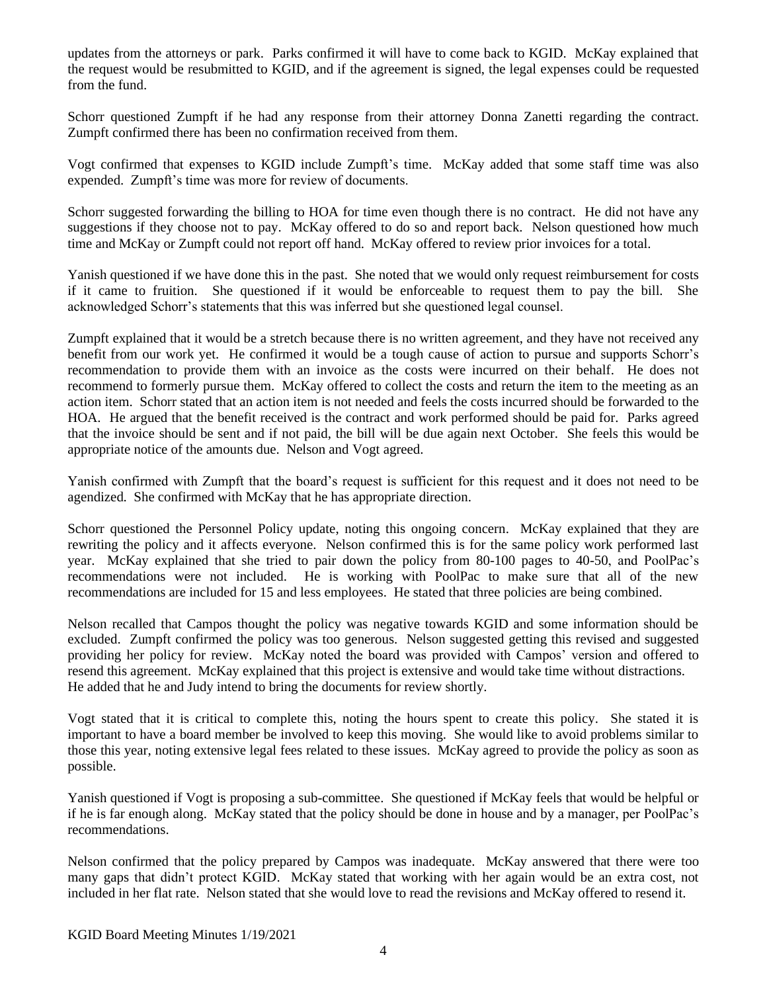updates from the attorneys or park. Parks confirmed it will have to come back to KGID. McKay explained that the request would be resubmitted to KGID, and if the agreement is signed, the legal expenses could be requested from the fund.

Schorr questioned Zumpft if he had any response from their attorney Donna Zanetti regarding the contract. Zumpft confirmed there has been no confirmation received from them.

Vogt confirmed that expenses to KGID include Zumpft's time. McKay added that some staff time was also expended. Zumpft's time was more for review of documents.

Schorr suggested forwarding the billing to HOA for time even though there is no contract. He did not have any suggestions if they choose not to pay. McKay offered to do so and report back. Nelson questioned how much time and McKay or Zumpft could not report off hand. McKay offered to review prior invoices for a total.

Yanish questioned if we have done this in the past. She noted that we would only request reimbursement for costs if it came to fruition. She questioned if it would be enforceable to request them to pay the bill. She acknowledged Schorr's statements that this was inferred but she questioned legal counsel.

Zumpft explained that it would be a stretch because there is no written agreement, and they have not received any benefit from our work yet. He confirmed it would be a tough cause of action to pursue and supports Schorr's recommendation to provide them with an invoice as the costs were incurred on their behalf. He does not recommend to formerly pursue them. McKay offered to collect the costs and return the item to the meeting as an action item. Schorr stated that an action item is not needed and feels the costs incurred should be forwarded to the HOA. He argued that the benefit received is the contract and work performed should be paid for. Parks agreed that the invoice should be sent and if not paid, the bill will be due again next October. She feels this would be appropriate notice of the amounts due. Nelson and Vogt agreed.

Yanish confirmed with Zumpft that the board's request is sufficient for this request and it does not need to be agendized. She confirmed with McKay that he has appropriate direction.

Schorr questioned the Personnel Policy update, noting this ongoing concern. McKay explained that they are rewriting the policy and it affects everyone. Nelson confirmed this is for the same policy work performed last year. McKay explained that she tried to pair down the policy from 80-100 pages to 40-50, and PoolPac's recommendations were not included. He is working with PoolPac to make sure that all of the new recommendations are included for 15 and less employees. He stated that three policies are being combined.

Nelson recalled that Campos thought the policy was negative towards KGID and some information should be excluded. Zumpft confirmed the policy was too generous. Nelson suggested getting this revised and suggested providing her policy for review. McKay noted the board was provided with Campos' version and offered to resend this agreement. McKay explained that this project is extensive and would take time without distractions. He added that he and Judy intend to bring the documents for review shortly.

Vogt stated that it is critical to complete this, noting the hours spent to create this policy. She stated it is important to have a board member be involved to keep this moving. She would like to avoid problems similar to those this year, noting extensive legal fees related to these issues. McKay agreed to provide the policy as soon as possible.

Yanish questioned if Vogt is proposing a sub-committee. She questioned if McKay feels that would be helpful or if he is far enough along. McKay stated that the policy should be done in house and by a manager, per PoolPac's recommendations.

Nelson confirmed that the policy prepared by Campos was inadequate. McKay answered that there were too many gaps that didn't protect KGID. McKay stated that working with her again would be an extra cost, not included in her flat rate. Nelson stated that she would love to read the revisions and McKay offered to resend it.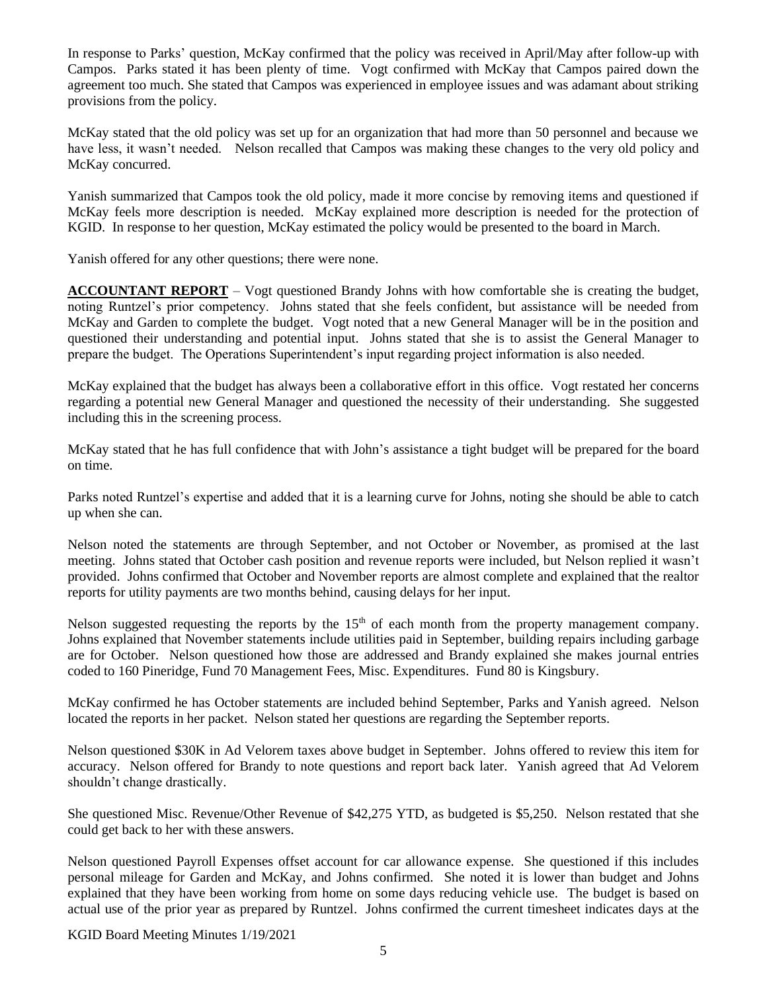In response to Parks' question, McKay confirmed that the policy was received in April/May after follow-up with Campos. Parks stated it has been plenty of time. Vogt confirmed with McKay that Campos paired down the agreement too much. She stated that Campos was experienced in employee issues and was adamant about striking provisions from the policy.

McKay stated that the old policy was set up for an organization that had more than 50 personnel and because we have less, it wasn't needed. Nelson recalled that Campos was making these changes to the very old policy and McKay concurred.

Yanish summarized that Campos took the old policy, made it more concise by removing items and questioned if McKay feels more description is needed. McKay explained more description is needed for the protection of KGID. In response to her question, McKay estimated the policy would be presented to the board in March.

Yanish offered for any other questions; there were none.

**ACCOUNTANT REPORT** – Vogt questioned Brandy Johns with how comfortable she is creating the budget, noting Runtzel's prior competency. Johns stated that she feels confident, but assistance will be needed from McKay and Garden to complete the budget. Vogt noted that a new General Manager will be in the position and questioned their understanding and potential input. Johns stated that she is to assist the General Manager to prepare the budget. The Operations Superintendent's input regarding project information is also needed.

McKay explained that the budget has always been a collaborative effort in this office. Vogt restated her concerns regarding a potential new General Manager and questioned the necessity of their understanding. She suggested including this in the screening process.

McKay stated that he has full confidence that with John's assistance a tight budget will be prepared for the board on time.

Parks noted Runtzel's expertise and added that it is a learning curve for Johns, noting she should be able to catch up when she can.

Nelson noted the statements are through September, and not October or November, as promised at the last meeting. Johns stated that October cash position and revenue reports were included, but Nelson replied it wasn't provided. Johns confirmed that October and November reports are almost complete and explained that the realtor reports for utility payments are two months behind, causing delays for her input.

Nelson suggested requesting the reports by the 15<sup>th</sup> of each month from the property management company. Johns explained that November statements include utilities paid in September, building repairs including garbage are for October. Nelson questioned how those are addressed and Brandy explained she makes journal entries coded to 160 Pineridge, Fund 70 Management Fees, Misc. Expenditures. Fund 80 is Kingsbury.

McKay confirmed he has October statements are included behind September, Parks and Yanish agreed. Nelson located the reports in her packet. Nelson stated her questions are regarding the September reports.

Nelson questioned \$30K in Ad Velorem taxes above budget in September. Johns offered to review this item for accuracy. Nelson offered for Brandy to note questions and report back later. Yanish agreed that Ad Velorem shouldn't change drastically.

She questioned Misc. Revenue/Other Revenue of \$42,275 YTD, as budgeted is \$5,250. Nelson restated that she could get back to her with these answers.

Nelson questioned Payroll Expenses offset account for car allowance expense. She questioned if this includes personal mileage for Garden and McKay, and Johns confirmed. She noted it is lower than budget and Johns explained that they have been working from home on some days reducing vehicle use. The budget is based on actual use of the prior year as prepared by Runtzel. Johns confirmed the current timesheet indicates days at the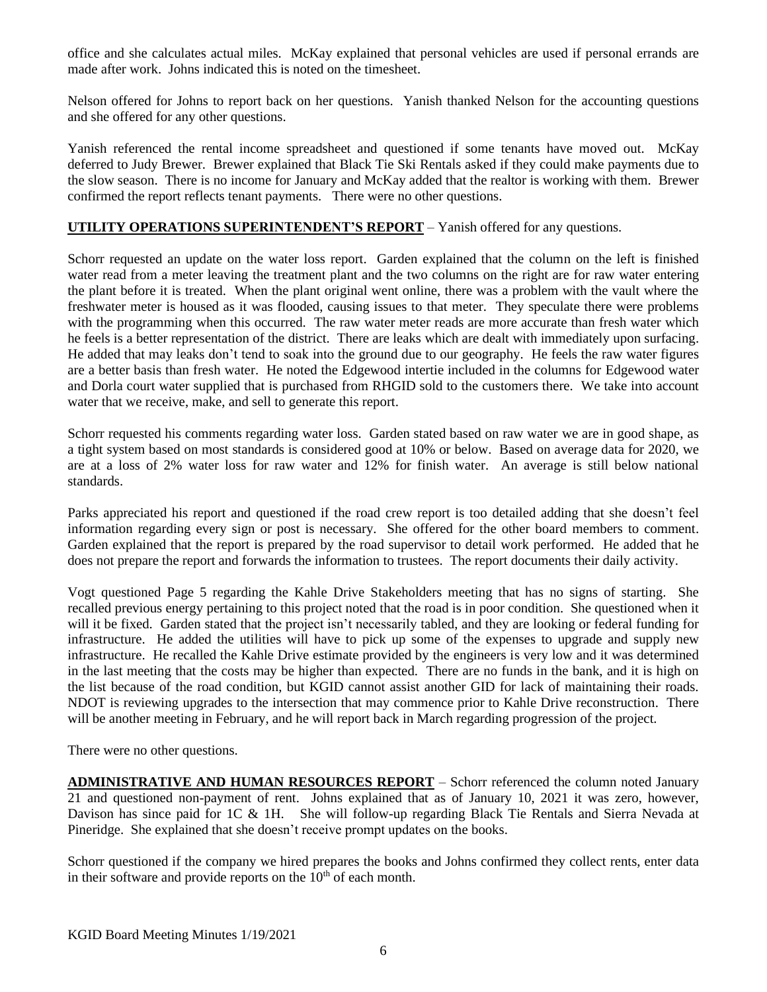office and she calculates actual miles. McKay explained that personal vehicles are used if personal errands are made after work. Johns indicated this is noted on the timesheet.

Nelson offered for Johns to report back on her questions. Yanish thanked Nelson for the accounting questions and she offered for any other questions.

Yanish referenced the rental income spreadsheet and questioned if some tenants have moved out. McKay deferred to Judy Brewer. Brewer explained that Black Tie Ski Rentals asked if they could make payments due to the slow season. There is no income for January and McKay added that the realtor is working with them. Brewer confirmed the report reflects tenant payments. There were no other questions.

# **UTILITY OPERATIONS SUPERINTENDENT'S REPORT** – Yanish offered for any questions.

Schorr requested an update on the water loss report. Garden explained that the column on the left is finished water read from a meter leaving the treatment plant and the two columns on the right are for raw water entering the plant before it is treated. When the plant original went online, there was a problem with the vault where the freshwater meter is housed as it was flooded, causing issues to that meter. They speculate there were problems with the programming when this occurred. The raw water meter reads are more accurate than fresh water which he feels is a better representation of the district. There are leaks which are dealt with immediately upon surfacing. He added that may leaks don't tend to soak into the ground due to our geography. He feels the raw water figures are a better basis than fresh water. He noted the Edgewood intertie included in the columns for Edgewood water and Dorla court water supplied that is purchased from RHGID sold to the customers there. We take into account water that we receive, make, and sell to generate this report.

Schorr requested his comments regarding water loss. Garden stated based on raw water we are in good shape, as a tight system based on most standards is considered good at 10% or below. Based on average data for 2020, we are at a loss of 2% water loss for raw water and 12% for finish water. An average is still below national standards.

Parks appreciated his report and questioned if the road crew report is too detailed adding that she doesn't feel information regarding every sign or post is necessary. She offered for the other board members to comment. Garden explained that the report is prepared by the road supervisor to detail work performed. He added that he does not prepare the report and forwards the information to trustees. The report documents their daily activity.

Vogt questioned Page 5 regarding the Kahle Drive Stakeholders meeting that has no signs of starting. She recalled previous energy pertaining to this project noted that the road is in poor condition. She questioned when it will it be fixed. Garden stated that the project isn't necessarily tabled, and they are looking or federal funding for infrastructure. He added the utilities will have to pick up some of the expenses to upgrade and supply new infrastructure. He recalled the Kahle Drive estimate provided by the engineers is very low and it was determined in the last meeting that the costs may be higher than expected. There are no funds in the bank, and it is high on the list because of the road condition, but KGID cannot assist another GID for lack of maintaining their roads. NDOT is reviewing upgrades to the intersection that may commence prior to Kahle Drive reconstruction. There will be another meeting in February, and he will report back in March regarding progression of the project.

There were no other questions.

**ADMINISTRATIVE AND HUMAN RESOURCES REPORT** – Schorr referenced the column noted January 21 and questioned non-payment of rent. Johns explained that as of January 10, 2021 it was zero, however, Davison has since paid for 1C & 1H. She will follow-up regarding Black Tie Rentals and Sierra Nevada at Pineridge. She explained that she doesn't receive prompt updates on the books.

Schorr questioned if the company we hired prepares the books and Johns confirmed they collect rents, enter data in their software and provide reports on the  $10<sup>th</sup>$  of each month.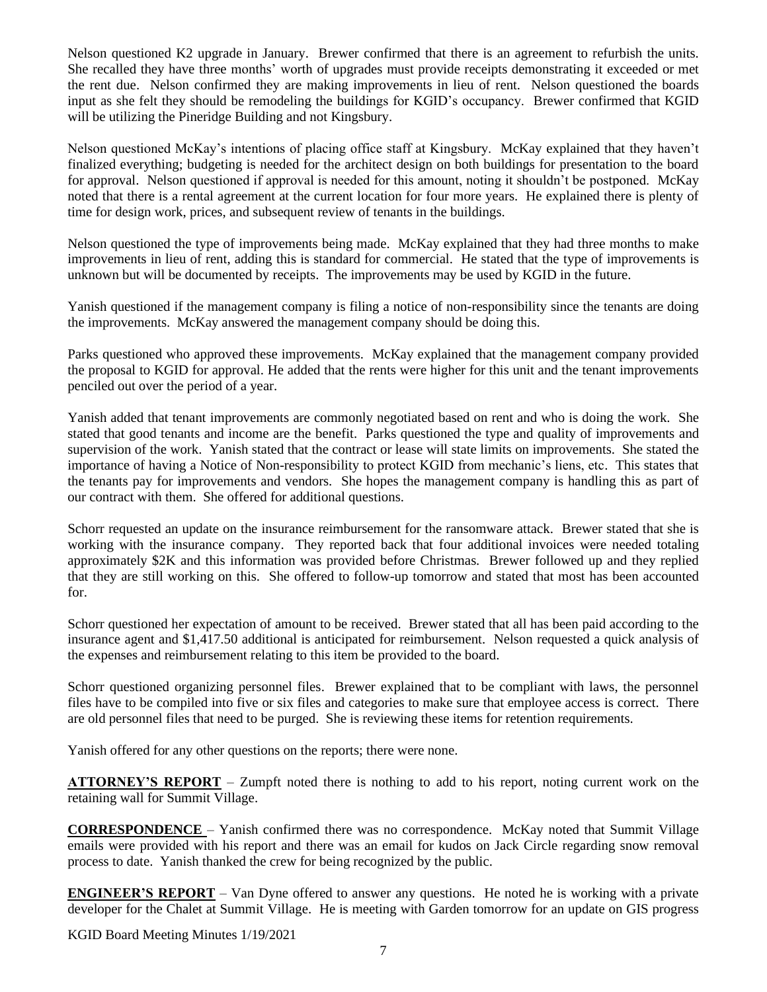Nelson questioned K2 upgrade in January. Brewer confirmed that there is an agreement to refurbish the units. She recalled they have three months' worth of upgrades must provide receipts demonstrating it exceeded or met the rent due. Nelson confirmed they are making improvements in lieu of rent. Nelson questioned the boards input as she felt they should be remodeling the buildings for KGID's occupancy. Brewer confirmed that KGID will be utilizing the Pineridge Building and not Kingsbury.

Nelson questioned McKay's intentions of placing office staff at Kingsbury. McKay explained that they haven't finalized everything; budgeting is needed for the architect design on both buildings for presentation to the board for approval. Nelson questioned if approval is needed for this amount, noting it shouldn't be postponed. McKay noted that there is a rental agreement at the current location for four more years. He explained there is plenty of time for design work, prices, and subsequent review of tenants in the buildings.

Nelson questioned the type of improvements being made. McKay explained that they had three months to make improvements in lieu of rent, adding this is standard for commercial. He stated that the type of improvements is unknown but will be documented by receipts. The improvements may be used by KGID in the future.

Yanish questioned if the management company is filing a notice of non-responsibility since the tenants are doing the improvements. McKay answered the management company should be doing this.

Parks questioned who approved these improvements. McKay explained that the management company provided the proposal to KGID for approval. He added that the rents were higher for this unit and the tenant improvements penciled out over the period of a year.

Yanish added that tenant improvements are commonly negotiated based on rent and who is doing the work. She stated that good tenants and income are the benefit. Parks questioned the type and quality of improvements and supervision of the work. Yanish stated that the contract or lease will state limits on improvements. She stated the importance of having a Notice of Non-responsibility to protect KGID from mechanic's liens, etc. This states that the tenants pay for improvements and vendors. She hopes the management company is handling this as part of our contract with them. She offered for additional questions.

Schorr requested an update on the insurance reimbursement for the ransomware attack. Brewer stated that she is working with the insurance company. They reported back that four additional invoices were needed totaling approximately \$2K and this information was provided before Christmas. Brewer followed up and they replied that they are still working on this. She offered to follow-up tomorrow and stated that most has been accounted for.

Schorr questioned her expectation of amount to be received. Brewer stated that all has been paid according to the insurance agent and \$1,417.50 additional is anticipated for reimbursement. Nelson requested a quick analysis of the expenses and reimbursement relating to this item be provided to the board.

Schorr questioned organizing personnel files. Brewer explained that to be compliant with laws, the personnel files have to be compiled into five or six files and categories to make sure that employee access is correct. There are old personnel files that need to be purged. She is reviewing these items for retention requirements.

Yanish offered for any other questions on the reports; there were none.

**ATTORNEY'S REPORT** – Zumpft noted there is nothing to add to his report, noting current work on the retaining wall for Summit Village.

**CORRESPONDENCE** – Yanish confirmed there was no correspondence. McKay noted that Summit Village emails were provided with his report and there was an email for kudos on Jack Circle regarding snow removal process to date. Yanish thanked the crew for being recognized by the public.

**ENGINEER'S REPORT** – Van Dyne offered to answer any questions. He noted he is working with a private developer for the Chalet at Summit Village. He is meeting with Garden tomorrow for an update on GIS progress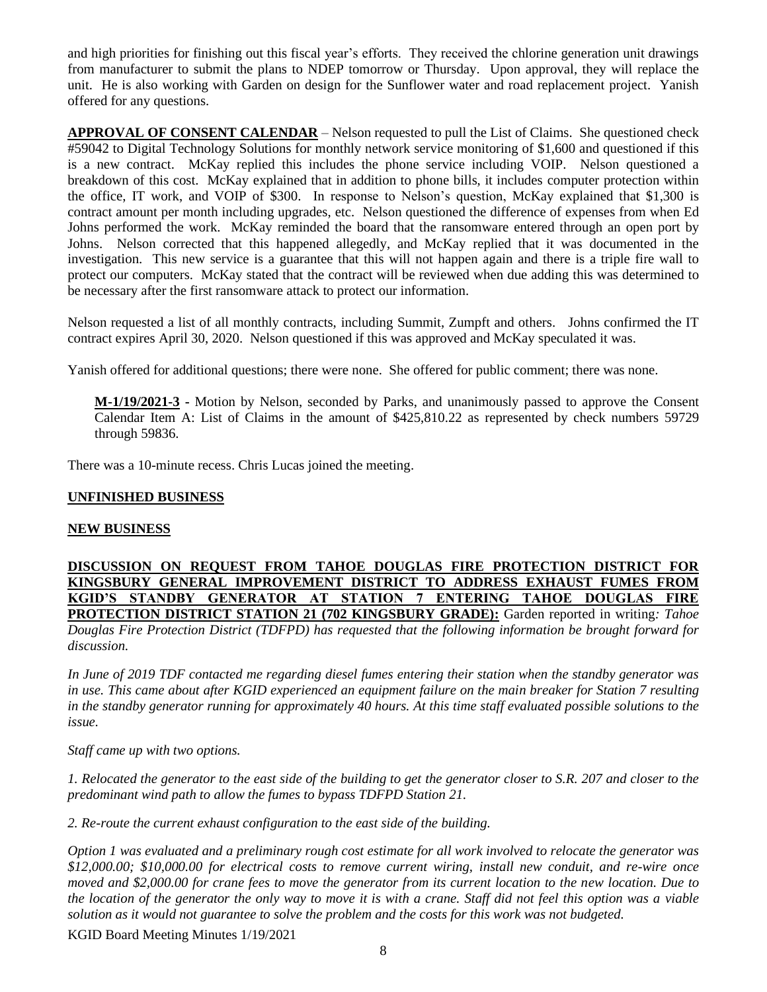and high priorities for finishing out this fiscal year's efforts. They received the chlorine generation unit drawings from manufacturer to submit the plans to NDEP tomorrow or Thursday. Upon approval, they will replace the unit. He is also working with Garden on design for the Sunflower water and road replacement project. Yanish offered for any questions.

**APPROVAL OF CONSENT CALENDAR** – Nelson requested to pull the List of Claims. She questioned check #59042 to Digital Technology Solutions for monthly network service monitoring of \$1,600 and questioned if this is a new contract. McKay replied this includes the phone service including VOIP. Nelson questioned a breakdown of this cost. McKay explained that in addition to phone bills, it includes computer protection within the office, IT work, and VOIP of \$300. In response to Nelson's question, McKay explained that \$1,300 is contract amount per month including upgrades, etc. Nelson questioned the difference of expenses from when Ed Johns performed the work. McKay reminded the board that the ransomware entered through an open port by Johns. Nelson corrected that this happened allegedly, and McKay replied that it was documented in the investigation. This new service is a guarantee that this will not happen again and there is a triple fire wall to protect our computers. McKay stated that the contract will be reviewed when due adding this was determined to be necessary after the first ransomware attack to protect our information.

Nelson requested a list of all monthly contracts, including Summit, Zumpft and others. Johns confirmed the IT contract expires April 30, 2020. Nelson questioned if this was approved and McKay speculated it was.

Yanish offered for additional questions; there were none. She offered for public comment; there was none.

**M-1/19/2021-3 -** Motion by Nelson, seconded by Parks, and unanimously passed to approve the Consent Calendar Item A: List of Claims in the amount of \$425,810.22 as represented by check numbers 59729 through 59836.

There was a 10-minute recess. Chris Lucas joined the meeting.

## **UNFINISHED BUSINESS**

#### **NEW BUSINESS**

**DISCUSSION ON REQUEST FROM TAHOE DOUGLAS FIRE PROTECTION DISTRICT FOR KINGSBURY GENERAL IMPROVEMENT DISTRICT TO ADDRESS EXHAUST FUMES FROM KGID'S STANDBY GENERATOR AT STATION 7 ENTERING TAHOE DOUGLAS FIRE PROTECTION DISTRICT STATION 21 (702 KINGSBURY GRADE):** Garden reported in writing*: Tahoe Douglas Fire Protection District (TDFPD) has requested that the following information be brought forward for discussion.*

*In June of 2019 TDF contacted me regarding diesel fumes entering their station when the standby generator was in use. This came about after KGID experienced an equipment failure on the main breaker for Station 7 resulting in the standby generator running for approximately 40 hours. At this time staff evaluated possible solutions to the issue.*

*Staff came up with two options.*

*1. Relocated the generator to the east side of the building to get the generator closer to S.R. 207 and closer to the predominant wind path to allow the fumes to bypass TDFPD Station 21.*

*2. Re-route the current exhaust configuration to the east side of the building.*

*Option 1 was evaluated and a preliminary rough cost estimate for all work involved to relocate the generator was \$12,000.00; \$10,000.00 for electrical costs to remove current wiring, install new conduit, and re-wire once moved and \$2,000.00 for crane fees to move the generator from its current location to the new location. Due to the location of the generator the only way to move it is with a crane. Staff did not feel this option was a viable solution as it would not guarantee to solve the problem and the costs for this work was not budgeted.*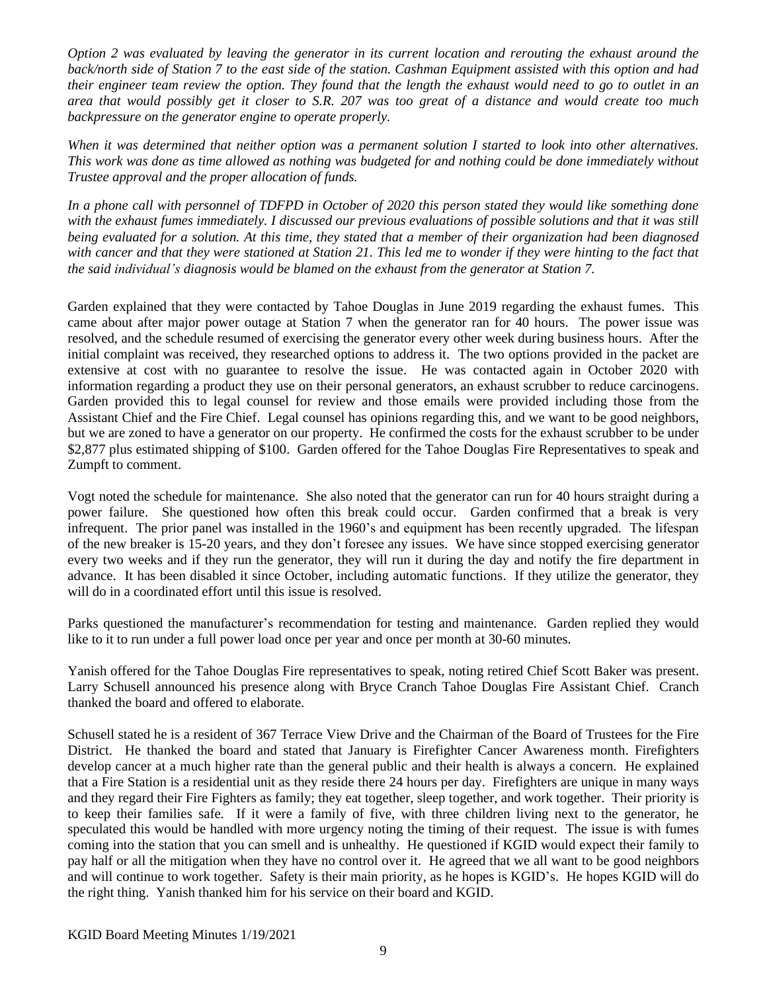*Option 2 was evaluated by leaving the generator in its current location and rerouting the exhaust around the back/north side of Station 7 to the east side of the station. Cashman Equipment assisted with this option and had their engineer team review the option. They found that the length the exhaust would need to go to outlet in an area that would possibly get it closer to S.R. 207 was too great of a distance and would create too much backpressure on the generator engine to operate properly.*

*When it was determined that neither option was a permanent solution I started to look into other alternatives. This work was done as time allowed as nothing was budgeted for and nothing could be done immediately without Trustee approval and the proper allocation of funds.*

*In a phone call with personnel of TDFPD in October of 2020 this person stated they would like something done with the exhaust fumes immediately. I discussed our previous evaluations of possible solutions and that it was still being evaluated for a solution. At this time, they stated that a member of their organization had been diagnosed*  with cancer and that they were stationed at Station 21. This led me to wonder if they were hinting to the fact that *the said individual's diagnosis would be blamed on the exhaust from the generator at Station 7.*

Garden explained that they were contacted by Tahoe Douglas in June 2019 regarding the exhaust fumes. This came about after major power outage at Station 7 when the generator ran for 40 hours. The power issue was resolved, and the schedule resumed of exercising the generator every other week during business hours. After the initial complaint was received, they researched options to address it. The two options provided in the packet are extensive at cost with no guarantee to resolve the issue. He was contacted again in October 2020 with information regarding a product they use on their personal generators, an exhaust scrubber to reduce carcinogens. Garden provided this to legal counsel for review and those emails were provided including those from the Assistant Chief and the Fire Chief. Legal counsel has opinions regarding this, and we want to be good neighbors, but we are zoned to have a generator on our property. He confirmed the costs for the exhaust scrubber to be under \$2,877 plus estimated shipping of \$100. Garden offered for the Tahoe Douglas Fire Representatives to speak and Zumpft to comment.

Vogt noted the schedule for maintenance. She also noted that the generator can run for 40 hours straight during a power failure. She questioned how often this break could occur. Garden confirmed that a break is very infrequent. The prior panel was installed in the 1960's and equipment has been recently upgraded. The lifespan of the new breaker is 15-20 years, and they don't foresee any issues. We have since stopped exercising generator every two weeks and if they run the generator, they will run it during the day and notify the fire department in advance. It has been disabled it since October, including automatic functions. If they utilize the generator, they will do in a coordinated effort until this issue is resolved.

Parks questioned the manufacturer's recommendation for testing and maintenance. Garden replied they would like to it to run under a full power load once per year and once per month at 30-60 minutes.

Yanish offered for the Tahoe Douglas Fire representatives to speak, noting retired Chief Scott Baker was present. Larry Schusell announced his presence along with Bryce Cranch Tahoe Douglas Fire Assistant Chief. Cranch thanked the board and offered to elaborate.

Schusell stated he is a resident of 367 Terrace View Drive and the Chairman of the Board of Trustees for the Fire District. He thanked the board and stated that January is Firefighter Cancer Awareness month. Firefighters develop cancer at a much higher rate than the general public and their health is always a concern. He explained that a Fire Station is a residential unit as they reside there 24 hours per day. Firefighters are unique in many ways and they regard their Fire Fighters as family; they eat together, sleep together, and work together. Their priority is to keep their families safe. If it were a family of five, with three children living next to the generator, he speculated this would be handled with more urgency noting the timing of their request. The issue is with fumes coming into the station that you can smell and is unhealthy. He questioned if KGID would expect their family to pay half or all the mitigation when they have no control over it. He agreed that we all want to be good neighbors and will continue to work together. Safety is their main priority, as he hopes is KGID's. He hopes KGID will do the right thing. Yanish thanked him for his service on their board and KGID.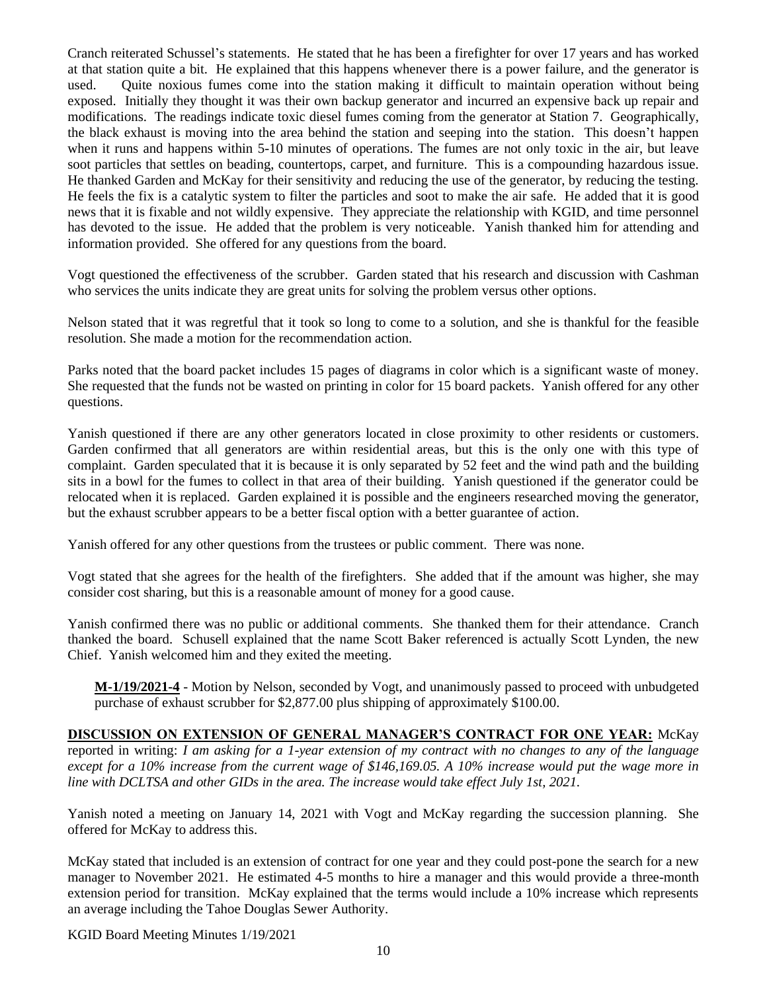Cranch reiterated Schussel's statements. He stated that he has been a firefighter for over 17 years and has worked at that station quite a bit. He explained that this happens whenever there is a power failure, and the generator is used. Quite noxious fumes come into the station making it difficult to maintain operation without being exposed. Initially they thought it was their own backup generator and incurred an expensive back up repair and modifications. The readings indicate toxic diesel fumes coming from the generator at Station 7. Geographically, the black exhaust is moving into the area behind the station and seeping into the station. This doesn't happen when it runs and happens within 5-10 minutes of operations. The fumes are not only toxic in the air, but leave soot particles that settles on beading, countertops, carpet, and furniture. This is a compounding hazardous issue. He thanked Garden and McKay for their sensitivity and reducing the use of the generator, by reducing the testing. He feels the fix is a catalytic system to filter the particles and soot to make the air safe. He added that it is good news that it is fixable and not wildly expensive. They appreciate the relationship with KGID, and time personnel has devoted to the issue. He added that the problem is very noticeable. Yanish thanked him for attending and information provided. She offered for any questions from the board.

Vogt questioned the effectiveness of the scrubber. Garden stated that his research and discussion with Cashman who services the units indicate they are great units for solving the problem versus other options.

Nelson stated that it was regretful that it took so long to come to a solution, and she is thankful for the feasible resolution. She made a motion for the recommendation action.

Parks noted that the board packet includes 15 pages of diagrams in color which is a significant waste of money. She requested that the funds not be wasted on printing in color for 15 board packets. Yanish offered for any other questions.

Yanish questioned if there are any other generators located in close proximity to other residents or customers. Garden confirmed that all generators are within residential areas, but this is the only one with this type of complaint. Garden speculated that it is because it is only separated by 52 feet and the wind path and the building sits in a bowl for the fumes to collect in that area of their building. Yanish questioned if the generator could be relocated when it is replaced. Garden explained it is possible and the engineers researched moving the generator, but the exhaust scrubber appears to be a better fiscal option with a better guarantee of action.

Yanish offered for any other questions from the trustees or public comment. There was none.

Vogt stated that she agrees for the health of the firefighters. She added that if the amount was higher, she may consider cost sharing, but this is a reasonable amount of money for a good cause.

Yanish confirmed there was no public or additional comments. She thanked them for their attendance. Cranch thanked the board. Schusell explained that the name Scott Baker referenced is actually Scott Lynden, the new Chief. Yanish welcomed him and they exited the meeting.

**M-1/19/2021-4** - Motion by Nelson, seconded by Vogt, and unanimously passed to proceed with unbudgeted purchase of exhaust scrubber for \$2,877.00 plus shipping of approximately \$100.00.

#### **DISCUSSION ON EXTENSION OF GENERAL MANAGER'S CONTRACT FOR ONE YEAR:** McKay

reported in writing: *I am asking for a 1-year extension of my contract with no changes to any of the language except for a 10% increase from the current wage of \$146,169.05. A 10% increase would put the wage more in line with DCLTSA and other GIDs in the area. The increase would take effect July 1st, 2021.*

Yanish noted a meeting on January 14, 2021 with Vogt and McKay regarding the succession planning. She offered for McKay to address this.

McKay stated that included is an extension of contract for one year and they could post-pone the search for a new manager to November 2021. He estimated 4-5 months to hire a manager and this would provide a three-month extension period for transition. McKay explained that the terms would include a 10% increase which represents an average including the Tahoe Douglas Sewer Authority.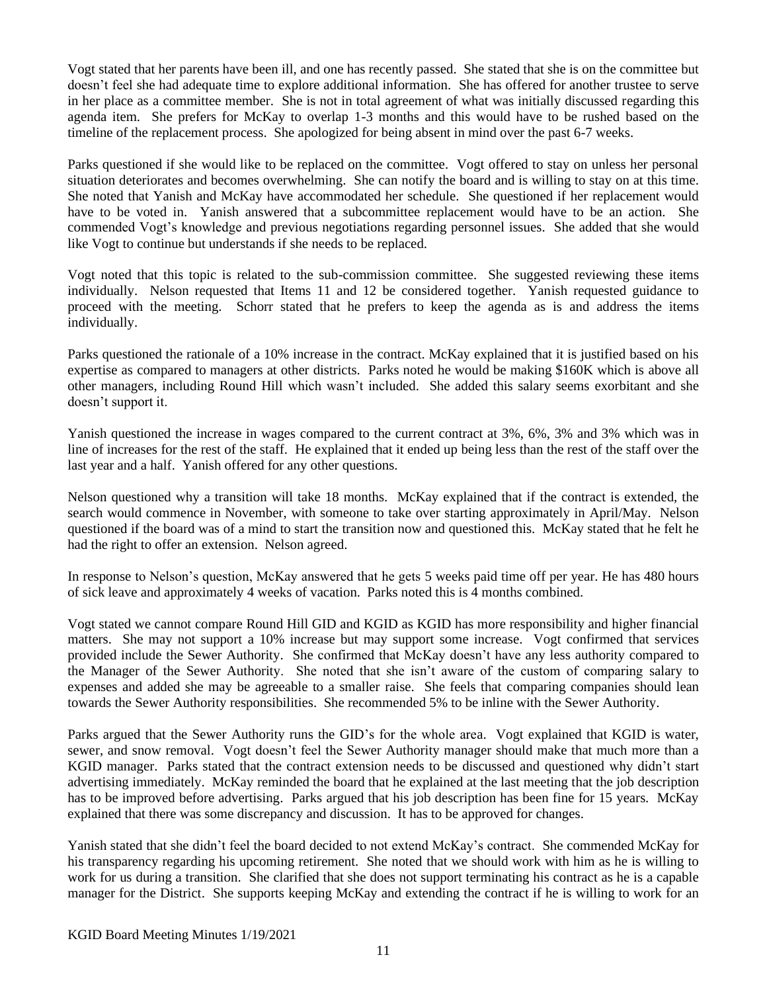Vogt stated that her parents have been ill, and one has recently passed. She stated that she is on the committee but doesn't feel she had adequate time to explore additional information. She has offered for another trustee to serve in her place as a committee member. She is not in total agreement of what was initially discussed regarding this agenda item. She prefers for McKay to overlap 1-3 months and this would have to be rushed based on the timeline of the replacement process. She apologized for being absent in mind over the past 6-7 weeks.

Parks questioned if she would like to be replaced on the committee. Vogt offered to stay on unless her personal situation deteriorates and becomes overwhelming. She can notify the board and is willing to stay on at this time. She noted that Yanish and McKay have accommodated her schedule. She questioned if her replacement would have to be voted in. Yanish answered that a subcommittee replacement would have to be an action. She commended Vogt's knowledge and previous negotiations regarding personnel issues. She added that she would like Vogt to continue but understands if she needs to be replaced.

Vogt noted that this topic is related to the sub-commission committee. She suggested reviewing these items individually. Nelson requested that Items 11 and 12 be considered together. Yanish requested guidance to proceed with the meeting. Schorr stated that he prefers to keep the agenda as is and address the items individually.

Parks questioned the rationale of a 10% increase in the contract. McKay explained that it is justified based on his expertise as compared to managers at other districts. Parks noted he would be making \$160K which is above all other managers, including Round Hill which wasn't included. She added this salary seems exorbitant and she doesn't support it.

Yanish questioned the increase in wages compared to the current contract at 3%, 6%, 3% and 3% which was in line of increases for the rest of the staff. He explained that it ended up being less than the rest of the staff over the last year and a half. Yanish offered for any other questions.

Nelson questioned why a transition will take 18 months. McKay explained that if the contract is extended, the search would commence in November, with someone to take over starting approximately in April/May. Nelson questioned if the board was of a mind to start the transition now and questioned this. McKay stated that he felt he had the right to offer an extension. Nelson agreed.

In response to Nelson's question, McKay answered that he gets 5 weeks paid time off per year. He has 480 hours of sick leave and approximately 4 weeks of vacation. Parks noted this is 4 months combined.

Vogt stated we cannot compare Round Hill GID and KGID as KGID has more responsibility and higher financial matters. She may not support a 10% increase but may support some increase. Vogt confirmed that services provided include the Sewer Authority. She confirmed that McKay doesn't have any less authority compared to the Manager of the Sewer Authority. She noted that she isn't aware of the custom of comparing salary to expenses and added she may be agreeable to a smaller raise. She feels that comparing companies should lean towards the Sewer Authority responsibilities. She recommended 5% to be inline with the Sewer Authority.

Parks argued that the Sewer Authority runs the GID's for the whole area. Vogt explained that KGID is water, sewer, and snow removal. Vogt doesn't feel the Sewer Authority manager should make that much more than a KGID manager. Parks stated that the contract extension needs to be discussed and questioned why didn't start advertising immediately. McKay reminded the board that he explained at the last meeting that the job description has to be improved before advertising. Parks argued that his job description has been fine for 15 years. McKay explained that there was some discrepancy and discussion. It has to be approved for changes.

Yanish stated that she didn't feel the board decided to not extend McKay's contract. She commended McKay for his transparency regarding his upcoming retirement. She noted that we should work with him as he is willing to work for us during a transition. She clarified that she does not support terminating his contract as he is a capable manager for the District. She supports keeping McKay and extending the contract if he is willing to work for an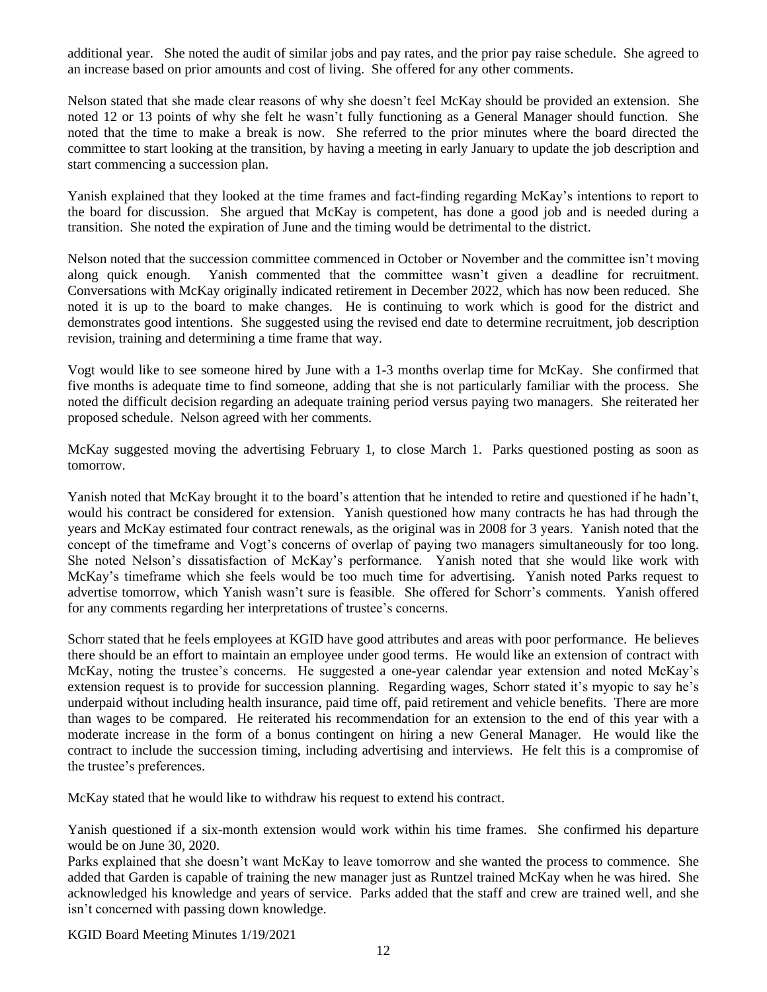additional year. She noted the audit of similar jobs and pay rates, and the prior pay raise schedule. She agreed to an increase based on prior amounts and cost of living. She offered for any other comments.

Nelson stated that she made clear reasons of why she doesn't feel McKay should be provided an extension. She noted 12 or 13 points of why she felt he wasn't fully functioning as a General Manager should function. She noted that the time to make a break is now. She referred to the prior minutes where the board directed the committee to start looking at the transition, by having a meeting in early January to update the job description and start commencing a succession plan.

Yanish explained that they looked at the time frames and fact-finding regarding McKay's intentions to report to the board for discussion. She argued that McKay is competent, has done a good job and is needed during a transition. She noted the expiration of June and the timing would be detrimental to the district.

Nelson noted that the succession committee commenced in October or November and the committee isn't moving along quick enough. Yanish commented that the committee wasn't given a deadline for recruitment. Conversations with McKay originally indicated retirement in December 2022, which has now been reduced. She noted it is up to the board to make changes. He is continuing to work which is good for the district and demonstrates good intentions. She suggested using the revised end date to determine recruitment, job description revision, training and determining a time frame that way.

Vogt would like to see someone hired by June with a 1-3 months overlap time for McKay. She confirmed that five months is adequate time to find someone, adding that she is not particularly familiar with the process. She noted the difficult decision regarding an adequate training period versus paying two managers. She reiterated her proposed schedule. Nelson agreed with her comments.

McKay suggested moving the advertising February 1, to close March 1. Parks questioned posting as soon as tomorrow.

Yanish noted that McKay brought it to the board's attention that he intended to retire and questioned if he hadn't, would his contract be considered for extension. Yanish questioned how many contracts he has had through the years and McKay estimated four contract renewals, as the original was in 2008 for 3 years. Yanish noted that the concept of the timeframe and Vogt's concerns of overlap of paying two managers simultaneously for too long. She noted Nelson's dissatisfaction of McKay's performance. Yanish noted that she would like work with McKay's timeframe which she feels would be too much time for advertising. Yanish noted Parks request to advertise tomorrow, which Yanish wasn't sure is feasible. She offered for Schorr's comments. Yanish offered for any comments regarding her interpretations of trustee's concerns.

Schorr stated that he feels employees at KGID have good attributes and areas with poor performance. He believes there should be an effort to maintain an employee under good terms. He would like an extension of contract with McKay, noting the trustee's concerns. He suggested a one-year calendar year extension and noted McKay's extension request is to provide for succession planning. Regarding wages, Schorr stated it's myopic to say he's underpaid without including health insurance, paid time off, paid retirement and vehicle benefits. There are more than wages to be compared. He reiterated his recommendation for an extension to the end of this year with a moderate increase in the form of a bonus contingent on hiring a new General Manager. He would like the contract to include the succession timing, including advertising and interviews. He felt this is a compromise of the trustee's preferences.

McKay stated that he would like to withdraw his request to extend his contract.

Yanish questioned if a six-month extension would work within his time frames. She confirmed his departure would be on June 30, 2020.

Parks explained that she doesn't want McKay to leave tomorrow and she wanted the process to commence. She added that Garden is capable of training the new manager just as Runtzel trained McKay when he was hired. She acknowledged his knowledge and years of service. Parks added that the staff and crew are trained well, and she isn't concerned with passing down knowledge.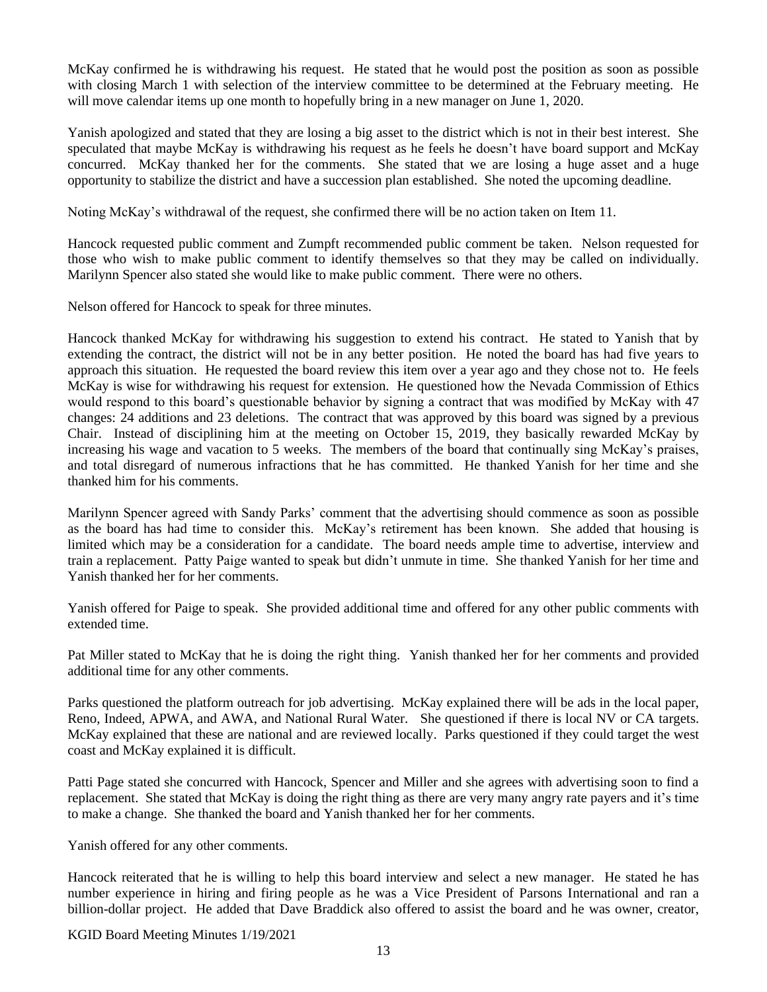McKay confirmed he is withdrawing his request. He stated that he would post the position as soon as possible with closing March 1 with selection of the interview committee to be determined at the February meeting. He will move calendar items up one month to hopefully bring in a new manager on June 1, 2020.

Yanish apologized and stated that they are losing a big asset to the district which is not in their best interest. She speculated that maybe McKay is withdrawing his request as he feels he doesn't have board support and McKay concurred. McKay thanked her for the comments. She stated that we are losing a huge asset and a huge opportunity to stabilize the district and have a succession plan established. She noted the upcoming deadline.

Noting McKay's withdrawal of the request, she confirmed there will be no action taken on Item 11.

Hancock requested public comment and Zumpft recommended public comment be taken. Nelson requested for those who wish to make public comment to identify themselves so that they may be called on individually. Marilynn Spencer also stated she would like to make public comment. There were no others.

Nelson offered for Hancock to speak for three minutes.

Hancock thanked McKay for withdrawing his suggestion to extend his contract. He stated to Yanish that by extending the contract, the district will not be in any better position. He noted the board has had five years to approach this situation. He requested the board review this item over a year ago and they chose not to. He feels McKay is wise for withdrawing his request for extension. He questioned how the Nevada Commission of Ethics would respond to this board's questionable behavior by signing a contract that was modified by McKay with 47 changes: 24 additions and 23 deletions. The contract that was approved by this board was signed by a previous Chair. Instead of disciplining him at the meeting on October 15, 2019, they basically rewarded McKay by increasing his wage and vacation to 5 weeks. The members of the board that continually sing McKay's praises, and total disregard of numerous infractions that he has committed. He thanked Yanish for her time and she thanked him for his comments.

Marilynn Spencer agreed with Sandy Parks' comment that the advertising should commence as soon as possible as the board has had time to consider this. McKay's retirement has been known. She added that housing is limited which may be a consideration for a candidate. The board needs ample time to advertise, interview and train a replacement. Patty Paige wanted to speak but didn't unmute in time. She thanked Yanish for her time and Yanish thanked her for her comments.

Yanish offered for Paige to speak. She provided additional time and offered for any other public comments with extended time.

Pat Miller stated to McKay that he is doing the right thing. Yanish thanked her for her comments and provided additional time for any other comments.

Parks questioned the platform outreach for job advertising. McKay explained there will be ads in the local paper, Reno, Indeed, APWA, and AWA, and National Rural Water. She questioned if there is local NV or CA targets. McKay explained that these are national and are reviewed locally. Parks questioned if they could target the west coast and McKay explained it is difficult.

Patti Page stated she concurred with Hancock, Spencer and Miller and she agrees with advertising soon to find a replacement. She stated that McKay is doing the right thing as there are very many angry rate payers and it's time to make a change. She thanked the board and Yanish thanked her for her comments.

Yanish offered for any other comments.

Hancock reiterated that he is willing to help this board interview and select a new manager. He stated he has number experience in hiring and firing people as he was a Vice President of Parsons International and ran a billion-dollar project. He added that Dave Braddick also offered to assist the board and he was owner, creator,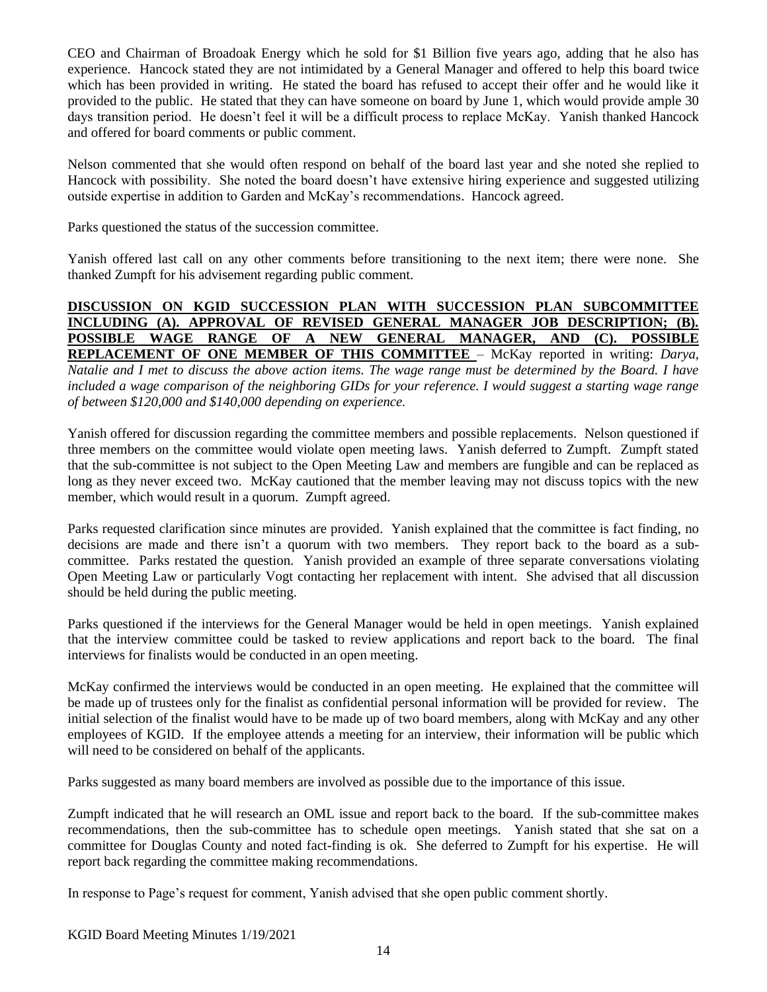CEO and Chairman of Broadoak Energy which he sold for \$1 Billion five years ago, adding that he also has experience. Hancock stated they are not intimidated by a General Manager and offered to help this board twice which has been provided in writing. He stated the board has refused to accept their offer and he would like it provided to the public. He stated that they can have someone on board by June 1, which would provide ample 30 days transition period. He doesn't feel it will be a difficult process to replace McKay. Yanish thanked Hancock and offered for board comments or public comment.

Nelson commented that she would often respond on behalf of the board last year and she noted she replied to Hancock with possibility. She noted the board doesn't have extensive hiring experience and suggested utilizing outside expertise in addition to Garden and McKay's recommendations. Hancock agreed.

Parks questioned the status of the succession committee.

Yanish offered last call on any other comments before transitioning to the next item; there were none. She thanked Zumpft for his advisement regarding public comment.

## **DISCUSSION ON KGID SUCCESSION PLAN WITH SUCCESSION PLAN SUBCOMMITTEE INCLUDING (A). APPROVAL OF REVISED GENERAL MANAGER JOB DESCRIPTION; (B). POSSIBLE WAGE RANGE OF A NEW GENERAL MANAGER, AND (C). POSSIBLE REPLACEMENT OF ONE MEMBER OF THIS COMMITTEE** – McKay reported in writing: *Darya, Natalie and I met to discuss the above action items. The wage range must be determined by the Board. I have included a wage comparison of the neighboring GIDs for your reference. I would suggest a starting wage range of between \$120,000 and \$140,000 depending on experience.*

Yanish offered for discussion regarding the committee members and possible replacements. Nelson questioned if three members on the committee would violate open meeting laws. Yanish deferred to Zumpft. Zumpft stated that the sub-committee is not subject to the Open Meeting Law and members are fungible and can be replaced as long as they never exceed two. McKay cautioned that the member leaving may not discuss topics with the new member, which would result in a quorum. Zumpft agreed.

Parks requested clarification since minutes are provided. Yanish explained that the committee is fact finding, no decisions are made and there isn't a quorum with two members. They report back to the board as a subcommittee. Parks restated the question. Yanish provided an example of three separate conversations violating Open Meeting Law or particularly Vogt contacting her replacement with intent. She advised that all discussion should be held during the public meeting.

Parks questioned if the interviews for the General Manager would be held in open meetings. Yanish explained that the interview committee could be tasked to review applications and report back to the board. The final interviews for finalists would be conducted in an open meeting.

McKay confirmed the interviews would be conducted in an open meeting. He explained that the committee will be made up of trustees only for the finalist as confidential personal information will be provided for review. The initial selection of the finalist would have to be made up of two board members, along with McKay and any other employees of KGID. If the employee attends a meeting for an interview, their information will be public which will need to be considered on behalf of the applicants.

Parks suggested as many board members are involved as possible due to the importance of this issue.

Zumpft indicated that he will research an OML issue and report back to the board. If the sub-committee makes recommendations, then the sub-committee has to schedule open meetings. Yanish stated that she sat on a committee for Douglas County and noted fact-finding is ok. She deferred to Zumpft for his expertise. He will report back regarding the committee making recommendations.

In response to Page's request for comment, Yanish advised that she open public comment shortly.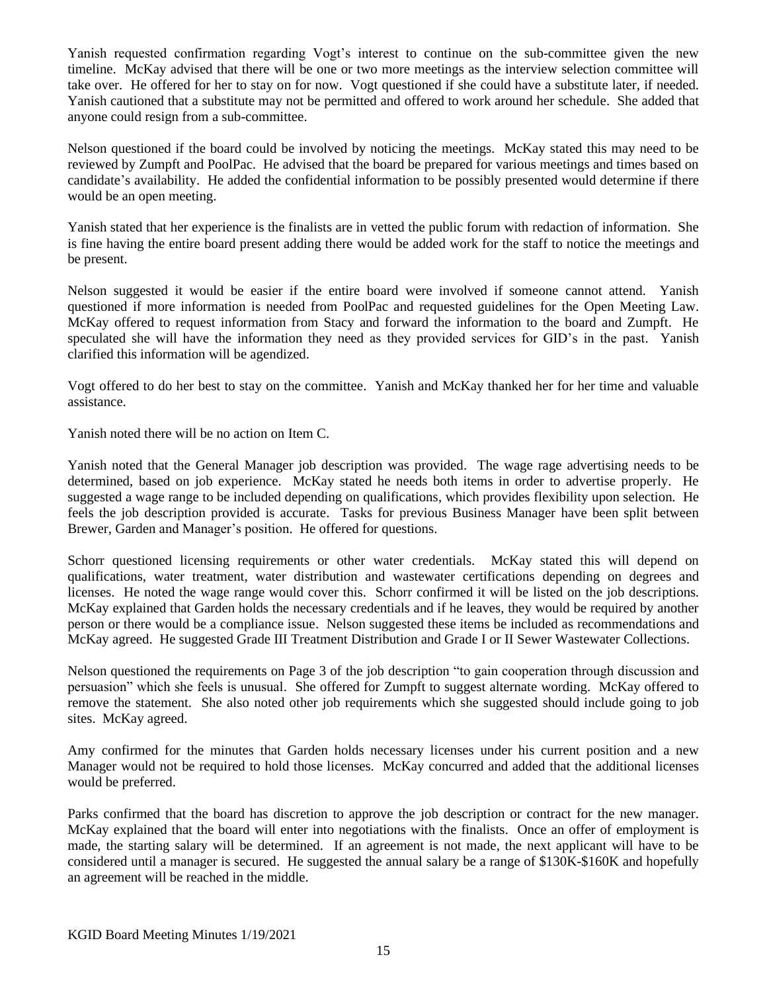Yanish requested confirmation regarding Vogt's interest to continue on the sub-committee given the new timeline. McKay advised that there will be one or two more meetings as the interview selection committee will take over. He offered for her to stay on for now. Vogt questioned if she could have a substitute later, if needed. Yanish cautioned that a substitute may not be permitted and offered to work around her schedule. She added that anyone could resign from a sub-committee.

Nelson questioned if the board could be involved by noticing the meetings. McKay stated this may need to be reviewed by Zumpft and PoolPac. He advised that the board be prepared for various meetings and times based on candidate's availability. He added the confidential information to be possibly presented would determine if there would be an open meeting.

Yanish stated that her experience is the finalists are in vetted the public forum with redaction of information. She is fine having the entire board present adding there would be added work for the staff to notice the meetings and be present.

Nelson suggested it would be easier if the entire board were involved if someone cannot attend. Yanish questioned if more information is needed from PoolPac and requested guidelines for the Open Meeting Law. McKay offered to request information from Stacy and forward the information to the board and Zumpft. He speculated she will have the information they need as they provided services for GID's in the past. Yanish clarified this information will be agendized.

Vogt offered to do her best to stay on the committee. Yanish and McKay thanked her for her time and valuable assistance.

Yanish noted there will be no action on Item C.

Yanish noted that the General Manager job description was provided. The wage rage advertising needs to be determined, based on job experience. McKay stated he needs both items in order to advertise properly. He suggested a wage range to be included depending on qualifications, which provides flexibility upon selection. He feels the job description provided is accurate. Tasks for previous Business Manager have been split between Brewer, Garden and Manager's position. He offered for questions.

Schorr questioned licensing requirements or other water credentials. McKay stated this will depend on qualifications, water treatment, water distribution and wastewater certifications depending on degrees and licenses. He noted the wage range would cover this. Schorr confirmed it will be listed on the job descriptions. McKay explained that Garden holds the necessary credentials and if he leaves, they would be required by another person or there would be a compliance issue. Nelson suggested these items be included as recommendations and McKay agreed. He suggested Grade III Treatment Distribution and Grade I or II Sewer Wastewater Collections.

Nelson questioned the requirements on Page 3 of the job description "to gain cooperation through discussion and persuasion" which she feels is unusual. She offered for Zumpft to suggest alternate wording. McKay offered to remove the statement. She also noted other job requirements which she suggested should include going to job sites. McKay agreed.

Amy confirmed for the minutes that Garden holds necessary licenses under his current position and a new Manager would not be required to hold those licenses. McKay concurred and added that the additional licenses would be preferred.

Parks confirmed that the board has discretion to approve the job description or contract for the new manager. McKay explained that the board will enter into negotiations with the finalists. Once an offer of employment is made, the starting salary will be determined. If an agreement is not made, the next applicant will have to be considered until a manager is secured. He suggested the annual salary be a range of \$130K-\$160K and hopefully an agreement will be reached in the middle.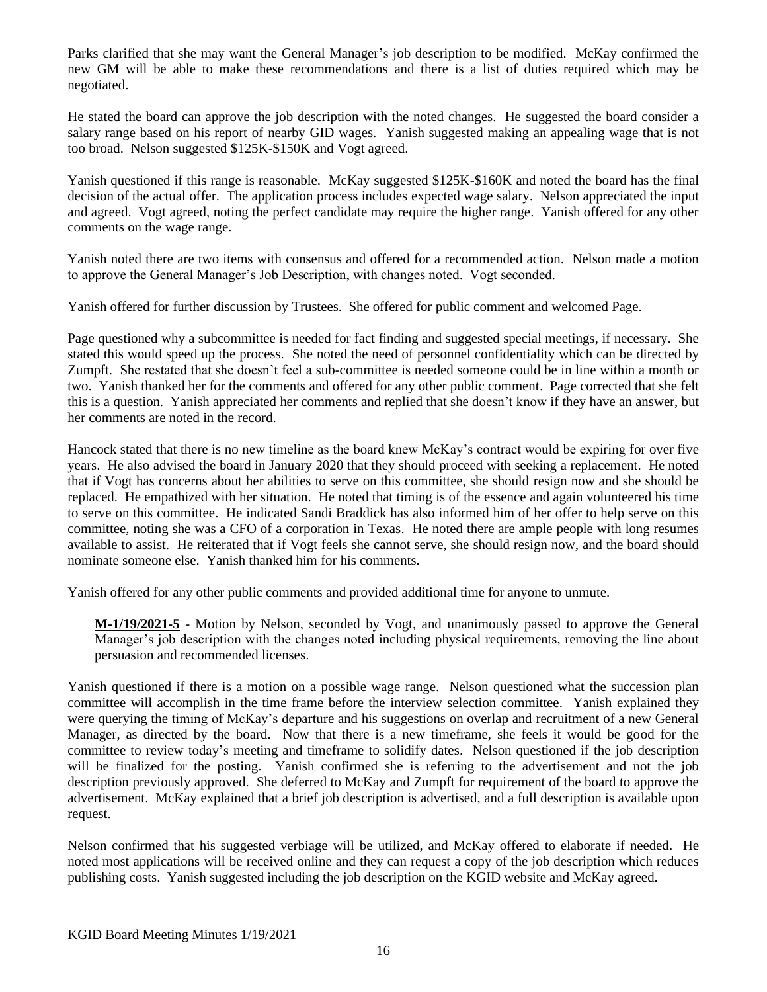Parks clarified that she may want the General Manager's job description to be modified. McKay confirmed the new GM will be able to make these recommendations and there is a list of duties required which may be negotiated.

He stated the board can approve the job description with the noted changes. He suggested the board consider a salary range based on his report of nearby GID wages. Yanish suggested making an appealing wage that is not too broad. Nelson suggested \$125K-\$150K and Vogt agreed.

Yanish questioned if this range is reasonable. McKay suggested \$125K-\$160K and noted the board has the final decision of the actual offer. The application process includes expected wage salary. Nelson appreciated the input and agreed. Vogt agreed, noting the perfect candidate may require the higher range. Yanish offered for any other comments on the wage range.

Yanish noted there are two items with consensus and offered for a recommended action. Nelson made a motion to approve the General Manager's Job Description, with changes noted. Vogt seconded.

Yanish offered for further discussion by Trustees. She offered for public comment and welcomed Page.

Page questioned why a subcommittee is needed for fact finding and suggested special meetings, if necessary. She stated this would speed up the process. She noted the need of personnel confidentiality which can be directed by Zumpft. She restated that she doesn't feel a sub-committee is needed someone could be in line within a month or two. Yanish thanked her for the comments and offered for any other public comment. Page corrected that she felt this is a question. Yanish appreciated her comments and replied that she doesn't know if they have an answer, but her comments are noted in the record.

Hancock stated that there is no new timeline as the board knew McKay's contract would be expiring for over five years. He also advised the board in January 2020 that they should proceed with seeking a replacement. He noted that if Vogt has concerns about her abilities to serve on this committee, she should resign now and she should be replaced. He empathized with her situation. He noted that timing is of the essence and again volunteered his time to serve on this committee. He indicated Sandi Braddick has also informed him of her offer to help serve on this committee, noting she was a CFO of a corporation in Texas. He noted there are ample people with long resumes available to assist. He reiterated that if Vogt feels she cannot serve, she should resign now, and the board should nominate someone else. Yanish thanked him for his comments.

Yanish offered for any other public comments and provided additional time for anyone to unmute.

**M-1/19/2021-5** - Motion by Nelson, seconded by Vogt, and unanimously passed to approve the General Manager's job description with the changes noted including physical requirements, removing the line about persuasion and recommended licenses.

Yanish questioned if there is a motion on a possible wage range. Nelson questioned what the succession plan committee will accomplish in the time frame before the interview selection committee. Yanish explained they were querying the timing of McKay's departure and his suggestions on overlap and recruitment of a new General Manager, as directed by the board. Now that there is a new timeframe, she feels it would be good for the committee to review today's meeting and timeframe to solidify dates. Nelson questioned if the job description will be finalized for the posting. Yanish confirmed she is referring to the advertisement and not the job description previously approved. She deferred to McKay and Zumpft for requirement of the board to approve the advertisement. McKay explained that a brief job description is advertised, and a full description is available upon request.

Nelson confirmed that his suggested verbiage will be utilized, and McKay offered to elaborate if needed. He noted most applications will be received online and they can request a copy of the job description which reduces publishing costs. Yanish suggested including the job description on the KGID website and McKay agreed.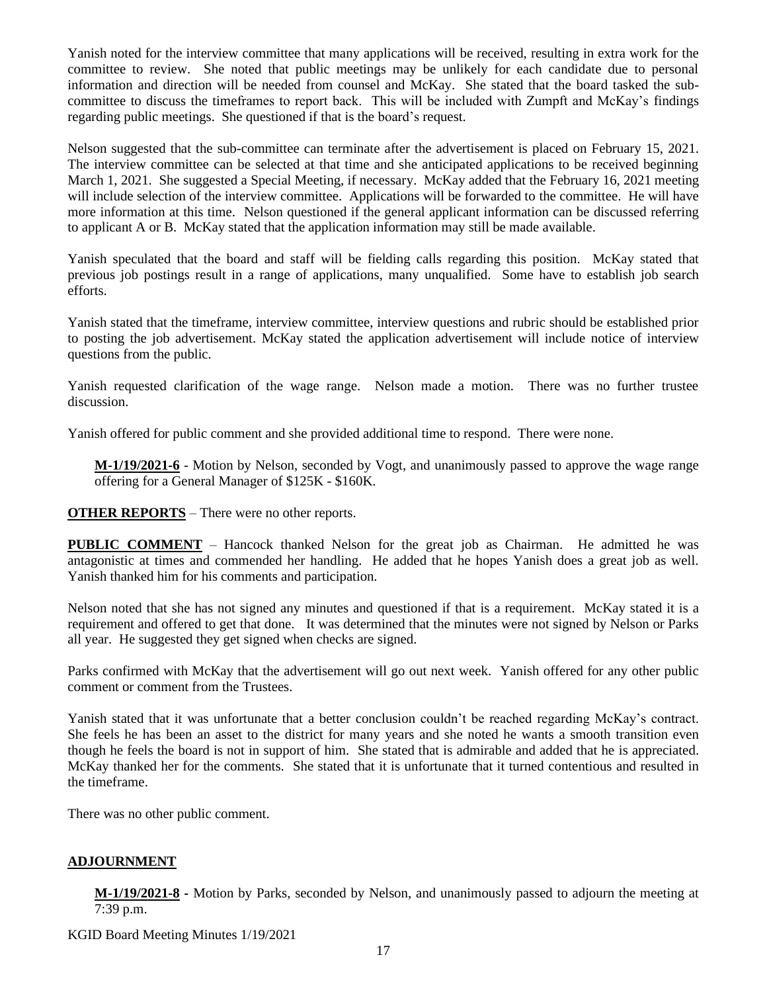Yanish noted for the interview committee that many applications will be received, resulting in extra work for the committee to review. She noted that public meetings may be unlikely for each candidate due to personal information and direction will be needed from counsel and McKay. She stated that the board tasked the subcommittee to discuss the timeframes to report back. This will be included with Zumpft and McKay's findings regarding public meetings. She questioned if that is the board's request.

Nelson suggested that the sub-committee can terminate after the advertisement is placed on February 15, 2021. The interview committee can be selected at that time and she anticipated applications to be received beginning March 1, 2021. She suggested a Special Meeting, if necessary. McKay added that the February 16, 2021 meeting will include selection of the interview committee. Applications will be forwarded to the committee. He will have more information at this time. Nelson questioned if the general applicant information can be discussed referring to applicant A or B. McKay stated that the application information may still be made available.

Yanish speculated that the board and staff will be fielding calls regarding this position. McKay stated that previous job postings result in a range of applications, many unqualified. Some have to establish job search efforts.

Yanish stated that the timeframe, interview committee, interview questions and rubric should be established prior to posting the job advertisement. McKay stated the application advertisement will include notice of interview questions from the public.

Yanish requested clarification of the wage range. Nelson made a motion. There was no further trustee discussion.

Yanish offered for public comment and she provided additional time to respond. There were none.

**M-1/19/2021-6** - Motion by Nelson, seconded by Vogt, and unanimously passed to approve the wage range offering for a General Manager of \$125K - \$160K.

**OTHER REPORTS** – There were no other reports.

**PUBLIC COMMENT** – Hancock thanked Nelson for the great job as Chairman. He admitted he was antagonistic at times and commended her handling. He added that he hopes Yanish does a great job as well. Yanish thanked him for his comments and participation.

Nelson noted that she has not signed any minutes and questioned if that is a requirement. McKay stated it is a requirement and offered to get that done. It was determined that the minutes were not signed by Nelson or Parks all year. He suggested they get signed when checks are signed.

Parks confirmed with McKay that the advertisement will go out next week. Yanish offered for any other public comment or comment from the Trustees.

Yanish stated that it was unfortunate that a better conclusion couldn't be reached regarding McKay's contract. She feels he has been an asset to the district for many years and she noted he wants a smooth transition even though he feels the board is not in support of him. She stated that is admirable and added that he is appreciated. McKay thanked her for the comments. She stated that it is unfortunate that it turned contentious and resulted in the timeframe.

There was no other public comment.

## **ADJOURNMENT**

**M-1/19/2021-8 -** Motion by Parks, seconded by Nelson, and unanimously passed to adjourn the meeting at 7:39 p.m.